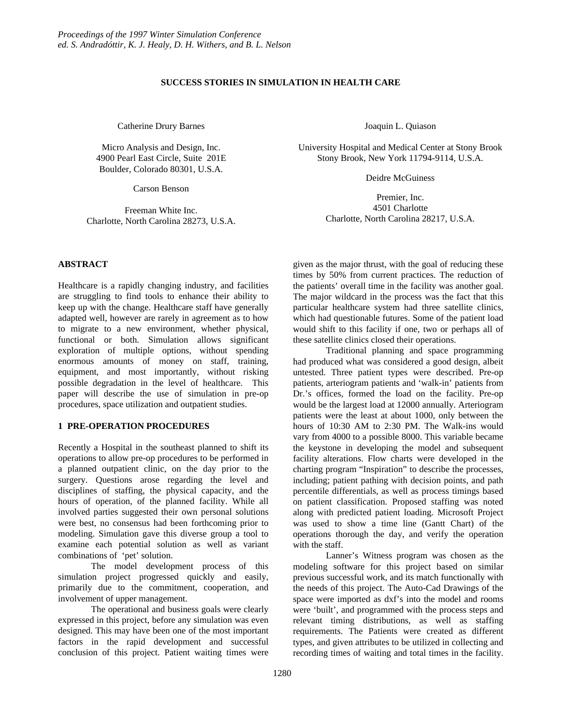## **SUCCESS STORIES IN SIMULATION IN HEALTH CARE**

Catherine Drury Barnes

Micro Analysis and Design, Inc. 4900 Pearl East Circle, Suite 201E Boulder, Colorado 80301, U.S.A.

Carson Benson

Freeman White Inc. Charlotte, North Carolina 28273, U.S.A.

**ABSTRACT**

Healthcare is a rapidly changing industry, and facilities are struggling to find tools to enhance their ability to keep up with the change. Healthcare staff have generally adapted well, however are rarely in agreement as to how to migrate to a new environment, whether physical, functional or both. Simulation allows significant exploration of multiple options, without spending enormous amounts of money on staff, training, equipment, and most importantly, without risking possible degradation in the level of healthcare. This paper will describe the use of simulation in pre-op procedures, space utilization and outpatient studies.

## **1 PRE-OPERATION PROCEDURES**

Recently a Hospital in the southeast planned to shift its operations to allow pre-op procedures to be performed in a planned outpatient clinic, on the day prior to the surgery. Questions arose regarding the level and disciplines of staffing, the physical capacity, and the hours of operation, of the planned facility. While all involved parties suggested their own personal solutions were best, no consensus had been forthcoming prior to modeling. Simulation gave this diverse group a tool to examine each potential solution as well as variant combinations of 'pet' solution.

The model development process of this simulation project progressed quickly and easily, primarily due to the commitment, cooperation, and involvement of upper management.

The operational and business goals were clearly expressed in this project, before any simulation was even designed. This may have been one of the most important factors in the rapid development and successful conclusion of this project. Patient waiting times were Joaquin L. Quiason

University Hospital and Medical Center at Stony Brook Stony Brook, New York 11794-9114, U.S.A.

Deidre McGuiness

Premier, Inc. 4501 Charlotte Charlotte, North Carolina 28217, U.S.A.

given as the major thrust, with the goal of reducing these times by 50% from current practices. The reduction of the patients' overall time in the facility was another goal. The major wildcard in the process was the fact that this particular healthcare system had three satellite clinics, which had questionable futures. Some of the patient load would shift to this facility if one, two or perhaps all of these satellite clinics closed their operations.

Traditional planning and space programming had produced what was considered a good design, albeit untested. Three patient types were described. Pre-op patients, arteriogram patients and 'walk-in' patients from Dr.'s offices, formed the load on the facility. Pre-op would be the largest load at 12000 annually. Arteriogram patients were the least at about 1000, only between the hours of 10:30 AM to 2:30 PM. The Walk-ins would vary from 4000 to a possible 8000. This variable became the keystone in developing the model and subsequent facility alterations. Flow charts were developed in the charting program "Inspiration" to describe the processes, including; patient pathing with decision points, and path percentile differentials, as well as process timings based on patient classification. Proposed staffing was noted along with predicted patient loading. Microsoft Project was used to show a time line (Gantt Chart) of the operations thorough the day, and verify the operation with the staff.

Lanner's Witness program was chosen as the modeling software for this project based on similar previous successful work, and its match functionally with the needs of this project. The Auto-Cad Drawings of the space were imported as dxf's into the model and rooms were 'built', and programmed with the process steps and relevant timing distributions, as well as staffing requirements. The Patients were created as different types, and given attributes to be utilized in collecting and recording times of waiting and total times in the facility.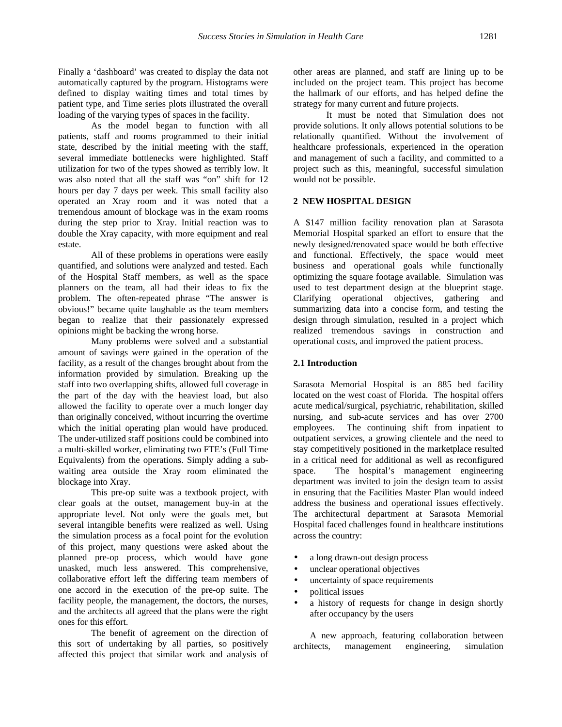Finally a 'dashboard' was created to display the data not automatically captured by the program. Histograms were defined to display waiting times and total times by patient type, and Time series plots illustrated the overall loading of the varying types of spaces in the facility.

As the model began to function with all patients, staff and rooms programmed to their initial state, described by the initial meeting with the staff, several immediate bottlenecks were highlighted. Staff utilization for two of the types showed as terribly low. It was also noted that all the staff was "on" shift for 12 hours per day 7 days per week. This small facility also operated an Xray room and it was noted that a tremendous amount of blockage was in the exam rooms during the step prior to Xray. Initial reaction was to double the Xray capacity, with more equipment and real estate.

All of these problems in operations were easily quantified, and solutions were analyzed and tested. Each of the Hospital Staff members, as well as the space planners on the team, all had their ideas to fix the problem. The often-repeated phrase "The answer is obvious!" became quite laughable as the team members began to realize that their passionately expressed opinions might be backing the wrong horse.

Many problems were solved and a substantial amount of savings were gained in the operation of the facility, as a result of the changes brought about from the information provided by simulation. Breaking up the staff into two overlapping shifts, allowed full coverage in the part of the day with the heaviest load, but also allowed the facility to operate over a much longer day than originally conceived, without incurring the overtime which the initial operating plan would have produced. The under-utilized staff positions could be combined into a multi-skilled worker, eliminating two FTE's (Full Time Equivalents) from the operations. Simply adding a subwaiting area outside the Xray room eliminated the blockage into Xray.

This pre-op suite was a textbook project, with clear goals at the outset, management buy-in at the appropriate level. Not only were the goals met, but several intangible benefits were realized as well. Using the simulation process as a focal point for the evolution of this project, many questions were asked about the planned pre-op process, which would have gone unasked, much less answered. This comprehensive, collaborative effort left the differing team members of one accord in the execution of the pre-op suite. The facility people, the management, the doctors, the nurses, and the architects all agreed that the plans were the right ones for this effort.

The benefit of agreement on the direction of this sort of undertaking by all parties, so positively affected this project that similar work and analysis of

other areas are planned, and staff are lining up to be included on the project team. This project has become the hallmark of our efforts, and has helped define the strategy for many current and future projects.

It must be noted that Simulation does not provide solutions. It only allows potential solutions to be relationally quantified. Without the involvement of healthcare professionals, experienced in the operation and management of such a facility, and committed to a project such as this, meaningful, successful simulation would not be possible.

## **2 NEW HOSPITAL DESIGN**

A \$147 million facility renovation plan at Sarasota Memorial Hospital sparked an effort to ensure that the newly designed/renovated space would be both effective and functional. Effectively, the space would meet business and operational goals while functionally optimizing the square footage available. Simulation was used to test department design at the blueprint stage. Clarifying operational objectives, gathering and summarizing data into a concise form, and testing the design through simulation, resulted in a project which realized tremendous savings in construction and operational costs, and improved the patient process.

#### **2.1 Introduction**

Sarasota Memorial Hospital is an 885 bed facility located on the west coast of Florida. The hospital offers acute medical/surgical, psychiatric, rehabilitation, skilled nursing, and sub-acute services and has over 2700 employees. The continuing shift from inpatient to outpatient services, a growing clientele and the need to stay competitively positioned in the marketplace resulted in a critical need for additional as well as reconfigured space. The hospital's management engineering department was invited to join the design team to assist in ensuring that the Facilities Master Plan would indeed address the business and operational issues effectively. The architectural department at Sarasota Memorial Hospital faced challenges found in healthcare institutions across the country:

- a long drawn-out design process
- unclear operational objectives
- uncertainty of space requirements
- political issues
- a history of requests for change in design shortly after occupancy by the users

A new approach, featuring collaboration between architects, management engineering, simulation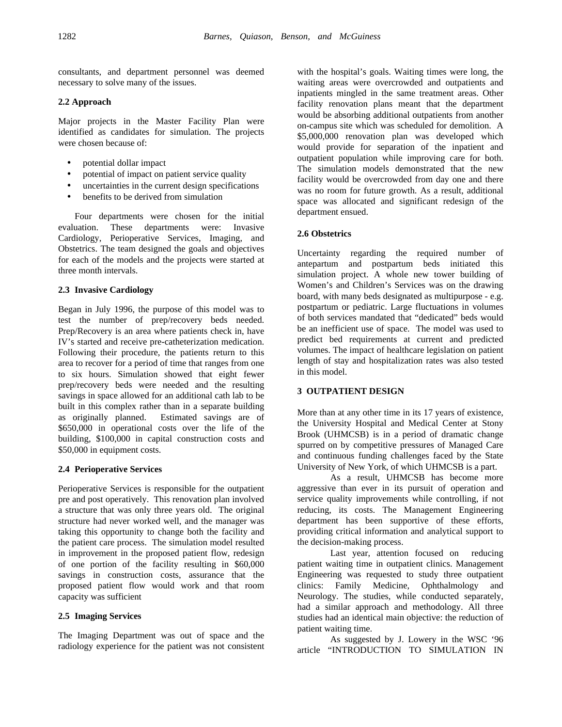consultants, and department personnel was deemed necessary to solve many of the issues.

#### **2.2 Approach**

Major projects in the Master Facility Plan were identified as candidates for simulation. The projects were chosen because of:

- potential dollar impact
- potential of impact on patient service quality
- uncertainties in the current design specifications
- benefits to be derived from simulation

Four departments were chosen for the initial evaluation. These departments were: Invasive Cardiology, Perioperative Services, Imaging, and Obstetrics. The team designed the goals and objectives for each of the models and the projects were started at three month intervals.

## **2.3 Invasive Cardiology**

Began in July 1996, the purpose of this model was to test the number of prep/recovery beds needed. Prep/Recovery is an area where patients check in, have IV's started and receive pre-catheterization medication. Following their procedure, the patients return to this area to recover for a period of time that ranges from one to six hours. Simulation showed that eight fewer prep/recovery beds were needed and the resulting savings in space allowed for an additional cath lab to be built in this complex rather than in a separate building as originally planned. Estimated savings are of \$650,000 in operational costs over the life of the building, \$100,000 in capital construction costs and \$50,000 in equipment costs.

## **2.4 Perioperative Services**

Perioperative Services is responsible for the outpatient pre and post operatively. This renovation plan involved a structure that was only three years old. The original structure had never worked well, and the manager was taking this opportunity to change both the facility and the patient care process. The simulation model resulted in improvement in the proposed patient flow, redesign of one portion of the facility resulting in \$60,000 savings in construction costs, assurance that the proposed patient flow would work and that room capacity was sufficient

## **2.5 Imaging Services**

The Imaging Department was out of space and the radiology experience for the patient was not consistent with the hospital's goals. Waiting times were long, the waiting areas were overcrowded and outpatients and inpatients mingled in the same treatment areas. Other facility renovation plans meant that the department would be absorbing additional outpatients from another on-campus site which was scheduled for demolition. A \$5,000,000 renovation plan was developed which would provide for separation of the inpatient and outpatient population while improving care for both. The simulation models demonstrated that the new facility would be overcrowded from day one and there was no room for future growth. As a result, additional space was allocated and significant redesign of the department ensued.

## **2.6 Obstetrics**

Uncertainty regarding the required number of antepartum and postpartum beds initiated this simulation project. A whole new tower building of Women's and Children's Services was on the drawing board, with many beds designated as multipurpose - e.g. postpartum or pediatric. Large fluctuations in volumes of both services mandated that "dedicated" beds would be an inefficient use of space. The model was used to predict bed requirements at current and predicted volumes. The impact of healthcare legislation on patient length of stay and hospitalization rates was also tested in this model.

## **3 OUTPATIENT DESIGN**

More than at any other time in its 17 years of existence, the University Hospital and Medical Center at Stony Brook (UHMCSB) is in a period of dramatic change spurred on by competitive pressures of Managed Care and continuous funding challenges faced by the State University of New York, of which UHMCSB is a part.

As a result, UHMCSB has become more aggressive than ever in its pursuit of operation and service quality improvements while controlling, if not reducing, its costs. The Management Engineering department has been supportive of these efforts, providing critical information and analytical support to the decision-making process.

Last year, attention focused on reducing patient waiting time in outpatient clinics. Management Engineering was requested to study three outpatient clinics: Family Medicine, Ophthalmology and Neurology. The studies, while conducted separately, had a similar approach and methodology. All three studies had an identical main objective: the reduction of patient waiting time.

As suggested by J. Lowery in the WSC '96 article "INTRODUCTION TO SIMULATION IN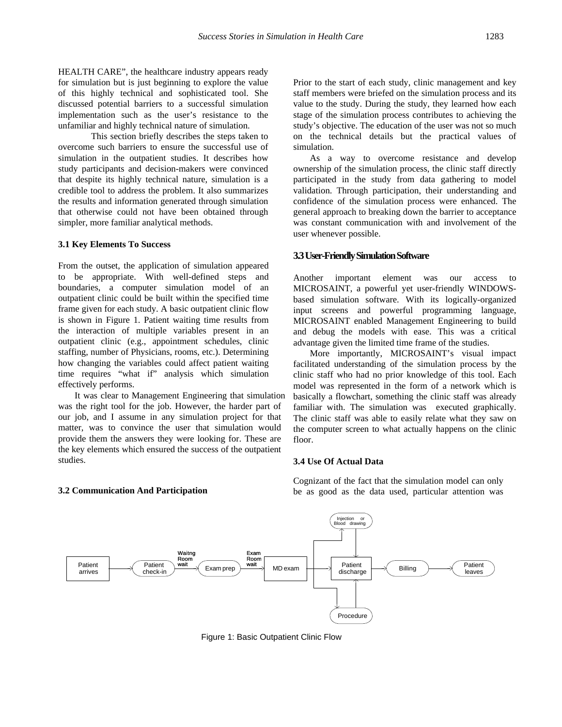HEALTH CARE", the healthcare industry appears ready for simulation but is just beginning to explore the value of this highly technical and sophisticated tool. She discussed potential barriers to a successful simulation implementation such as the user's resistance to the unfamiliar and highly technical nature of simulation.

This section briefly describes the steps taken to overcome such barriers to ensure the successful use of simulation in the outpatient studies. It describes how study participants and decision-makers were convinced that despite its highly technical nature, simulation is a credible tool to address the problem. It also summarizes the results and information generated through simulation that otherwise could not have been obtained through simpler, more familiar analytical methods.

#### **3.1 Key Elements To Success**

From the outset, the application of simulation appeared to be appropriate. With well-defined steps and boundaries, a computer simulation model of an outpatient clinic could be built within the specified time frame given for each study. A basic outpatient clinic flow is shown in Figure 1. Patient waiting time results from the interaction of multiple variables present in an outpatient clinic (e.g., appointment schedules, clinic staffing, number of Physicians, rooms, etc.). Determining how changing the variables could affect patient waiting time requires "what if" analysis which simulation effectively performs.

It was clear to Management Engineering that simulation was the right tool for the job. However, the harder part of our job, and I assume in any simulation project for that matter, was to convince the user that simulation would provide them the answers they were looking for. These are the key elements which ensured the success of the outpatient studies.

**3.2 Communication And Participation**

Prior to the start of each study, clinic management and key staff members were briefed on the simulation process and its value to the study. During the study, they learned how each stage of the simulation process contributes to achieving the study's objective. The education of the user was not so much on the technical details but the practical values of simulation.

As a way to overcome resistance and develop ownership of the simulation process, the clinic staff directly participated in the study from data gathering to model validation. Through participation, their understanding and confidence of the simulation process were enhanced. The general approach to breaking down the barrier to acceptance was constant communication with and involvement of the user whenever possible.

## **3.3User-FriendlySimulation Software**

Another important element was our access to MICROSAINT, a powerful yet user-friendly WINDOWSbased simulation software. With its logically-organized input screens and powerful programming language, MICROSAINT enabled Management Engineering to build and debug the models with ease. This was a critical advantage given the limited time frame of the studies.

More importantly, MICROSAINT's visual impact facilitated understanding of the simulation process by the clinic staff who had no prior knowledge of this tool. Each model was represented in the form of a network which is basically a flowchart, something the clinic staff was already familiar with. The simulation was executed graphically. The clinic staff was able to easily relate what they saw on the computer screen to what actually happens on the clinic floor.

#### **3.4 Use Of Actual Data**



Cognizant of the fact that the simulation model can only be as good as the data used, particular attention was

Figure 1: Basic Outpatient Clinic Flow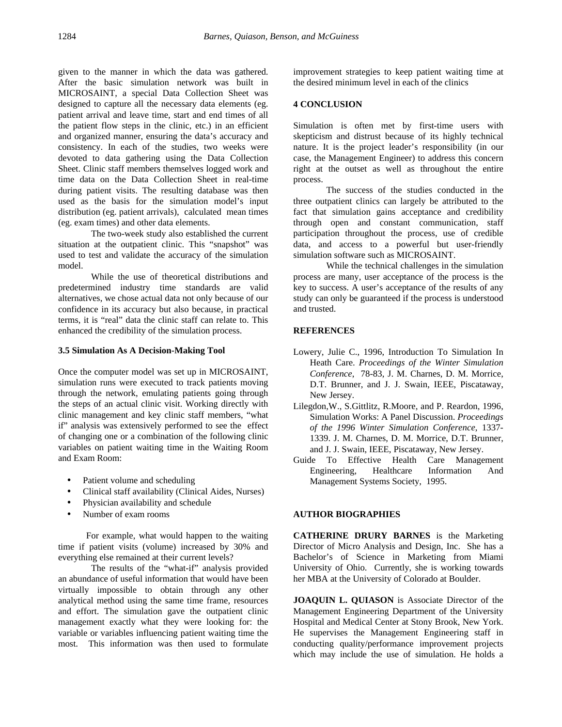given to the manner in which the data was gathered. After the basic simulation network was built in MICROSAINT, a special Data Collection Sheet was designed to capture all the necessary data elements (eg. patient arrival and leave time, start and end times of all the patient flow steps in the clinic, etc.) in an efficient and organized manner, ensuring the data's accuracy and consistency. In each of the studies, two weeks were devoted to data gathering using the Data Collection Sheet. Clinic staff members themselves logged work and time data on the Data Collection Sheet in real-time during patient visits. The resulting database was then used as the basis for the simulation model's input distribution (eg. patient arrivals), calculated mean times (eg. exam times) and other data elements.

The two-week study also established the current situation at the outpatient clinic. This "snapshot" was used to test and validate the accuracy of the simulation model.

While the use of theoretical distributions and predetermined industry time standards are valid alternatives, we chose actual data not only because of our confidence in its accuracy but also because, in practical terms, it is "real" data the clinic staff can relate to. This enhanced the credibility of the simulation process.

## **3.5 Simulation As A Decision-Making Tool**

Once the computer model was set up in MICROSAINT, simulation runs were executed to track patients moving through the network, emulating patients going through the steps of an actual clinic visit. Working directly with clinic management and key clinic staff members, "what if" analysis was extensively performed to see the effect of changing one or a combination of the following clinic variables on patient waiting time in the Waiting Room and Exam Room:

- Patient volume and scheduling
- Clinical staff availability (Clinical Aides, Nurses)
- Physician availability and schedule
- Number of exam rooms

 For example, what would happen to the waiting time if patient visits (volume) increased by 30% and everything else remained at their current levels?

The results of the "what-if" analysis provided an abundance of useful information that would have been virtually impossible to obtain through any other analytical method using the same time frame, resources and effort. The simulation gave the outpatient clinic management exactly what they were looking for: the variable or variables influencing patient waiting time the most. This information was then used to formulate improvement strategies to keep patient waiting time at the desired minimum level in each of the clinics

## **4 CONCLUSION**

Simulation is often met by first-time users with skepticism and distrust because of its highly technical nature. It is the project leader's responsibility (in our case, the Management Engineer) to address this concern right at the outset as well as throughout the entire process.

The success of the studies conducted in the three outpatient clinics can largely be attributed to the fact that simulation gains acceptance and credibility through open and constant communication, staff participation throughout the process, use of credible data, and access to a powerful but user-friendly simulation software such as MICROSAINT.

While the technical challenges in the simulation process are many, user acceptance of the process is the key to success. A user's acceptance of the results of any study can only be guaranteed if the process is understood and trusted.

# **REFERENCES**

- Lowery, Julie C., 1996, Introduction To Simulation In Heath Care. *Proceedings of the Winter Simulation Conference*, 78-83, J. M. Charnes, D. M. Morrice, D.T. Brunner, and J. J. Swain, IEEE, Piscataway, New Jersey.
- Lilegdon,W., S.Gittlitz, R.Moore, and P. Reardon, 1996, Simulation Works: A Panel Discussion. *Proceedings of the 1996 Winter Simulation Conference*, 1337- 1339. J. M. Charnes, D. M. Morrice, D.T. Brunner, and J. J. Swain, IEEE, Piscataway, New Jersey.
- Guide To Effective Health Care Management<br>Engineering, Healthcare Information And Engineering, Healthcare Information And Management Systems Society, 1995.

## **AUTHOR BIOGRAPHIES**

**CATHERINE DRURY BARNES** is the Marketing Director of Micro Analysis and Design, Inc. She has a Bachelor's of Science in Marketing from Miami University of Ohio. Currently, she is working towards her MBA at the University of Colorado at Boulder.

**JOAQUIN L. QUIASON** is Associate Director of the Management Engineering Department of the University Hospital and Medical Center at Stony Brook, New York. He supervises the Management Engineering staff in conducting quality/performance improvement projects which may include the use of simulation. He holds a